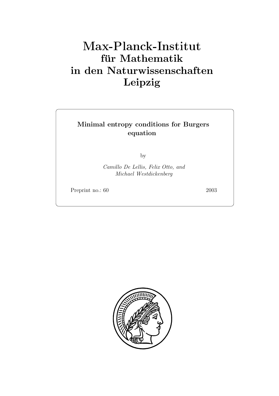# **für Mathematik in den Naturwissenschaften Leipzig**

# **Minimal entropy conditions for Burgers equation**

by

*Camillo De Lellis, Felix Otto, and Michael Westdickenberg*

Preprint no.: 60 2003

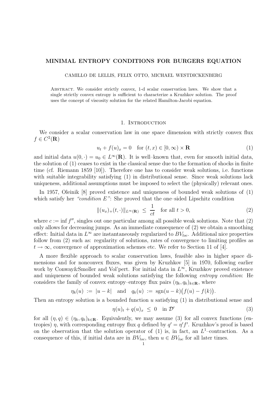## **MINIMAL ENTROPY CONDITIONS FOR BURGERS EQUATION**

CAMILLO DE LELLIS, FELIX OTTO, MICHAEL WESTDICKENBERG

Abstract. We consider strictly convex, 1-d scalar conservation laws. We show that a single strictly convex entropy is sufficient to characterize a Kruzhkov solution. The proof uses the concept of viscosity solution for the related Hamilton-Jacobi equation.

#### 1. INTRODUCTION

We consider a scalar conservation law in one space dimension with strictly convex flux  $f \in C^2(\mathbf{R})$ 

$$
u_t + f(u)_x = 0 \quad \text{for } (t, x) \in [0, \infty) \times \mathbf{R} \tag{1}
$$

and initial data  $u(0, \cdot) = u_0 \in L^{\infty}(\mathbf{R})$ . It is well–known that, even for smooth initial data, the solution of (1) ceases to exist in the classical sense due to the formation of shocks in finite time (cf. Riemann 1859 [10]). Therefore one has to consider weak solutions, i.e. functions with suitable integrability satisfying  $(1)$  in distributional sense. Since weak solutions lack uniqueness, additional assumptions must be imposed to select the (physically) relevant ones.

In 1957, Oleinik [8] proved existence and uniqueness of bounded weak solutions of (1) which satisfy her *"condition E"*: She proved that the one-sided Lipschitz condition

$$
\|(u_x)_+(t,\cdot)\|_{L^\infty(\mathbf{R})} \ \leq \ \frac{1}{ct} \quad \text{for all } t > 0,\tag{2}
$$

where  $c := \inf f'',$  singles out one particular among all possible weak solutions. Note that (2) only allows for decreasing jumps. As an immediate consequence of (2) we obtain a smoothing effect: Initial data in  $L^{\infty}$  are instantaneously regularized to  $BV_{loc}$ . Additional nice properties follow from (2) such as: regularity of solutions, rates of convergence to limiting profiles as  $t \to \infty$ , convergence of approximation schemes etc. We refer to Section 11 of [4].

A more flexible approach to scalar conservation laws, feasible also in higher space dimensions and for nonconvex fluxes, was given by Kruzhkov [5] in 1970, following earlier work by Conway&Smoller and Vol'pert. For initial data in  $L^{\infty}$ , Kruzhkov proved existence and uniqueness of bounded weak solutions satisfying the following *entropy condition*: He considers the family of convex entropy–entropy flux pairs  $(\eta_k, q_k)_{k \in \mathbf{R}}$ , where

$$
\eta_k(u) := |u - k|
$$
 and  $q_k(u) := \text{sgn}(u - k)(f(u) - f(k)).$ 

Then an entropy solution is a bounded function  $u$  satisfying  $(1)$  in distributional sense and

$$
\eta(u)_t + q(u)_x \le 0 \quad \text{in } \mathcal{D}' \tag{3}
$$

for all  $(\eta, q) \in (\eta_k, q_k)_{k \in \mathbb{R}}$ . Equivalently, we may assume (3) for all convex functions (entropies)  $\eta$ , with corresponding entropy flux q defined by  $q' = \eta' f'$ . Kruzhkov's proof is based on the observation that the solution operator of (1) is, in fact, an  $L^1$ –contraction. As a consequence of this, if initial data are in  $BV_{loc}$ , then  $u \in BV_{loc}$  for all later times.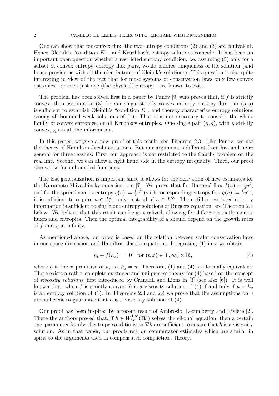One can show that for convex flux, the two entropy conditions (2) and (3) are equivalent. Hence Oleinik's "condition  $E$ "– and Kruzhkov's entropy solutions coincide. It has been an important open question whether a restricted entropy condition, i.e. assuming (3) only for a subset of convex entropy–entropy flux pairs, would enforce uniqueness of the solution (and hence provide us with all the nice features of Oleinik's solutions). This question is also quite interesting in view of the fact that for most systems of conservation laws only few convex entropies—or even just one (the physical) entropy—are known to exist.

The problem has been solved first in a paper by Panov  $[9]$  who proves that, if f is strictly convex, then assumption (3) for *one* single strictly convex entropy–entropy flux pair  $(\eta, q)$ is sufficient to establish Oleinik's "condition  $E$ ", and thereby characterize entropy solutions among all bounded weak solutions of (1). Thus it is not necessary to consider the whole family of convex entropies, or all Kruzhkov entropies. One single pair  $(\eta, q)$ , with  $\eta$  strictly convex, gives all the information.

In this paper, we give a new proof of this result, see Theorem 2.3. Like Panov, we use the theory of Hamilton-Jacobi equations. But our argument is different from his, and more general for three reasons: First, our approach is not restricted to the Cauchy problem on the real line. Second, we can allow a right hand side in the entropy inequality. Third, our proof also works for unbounded functions.

The last generalization is important since it allows for the derivation of new estimates for the Kuramoto-Shivashinsky equation, see [7]. We prove that for Burgers' flux  $f(u) = \frac{1}{2}u^2$ , and for the special convex entropy  $\eta(u) := \frac{1}{2}u^2$  (with corresponding entropy flux  $q(u) := \frac{1}{3}u^3$ ), it is sufficient to require  $u \in L^4_{loc}$  only, instead of  $u \in L^{\infty}$ . Then still a restricted entropy information is sufficient to single out entropy solutions of Burgers equation, see Theorem 2.4 below. We believe that this result can be generalized, allowing for different strictly convex fluxes and entropies. Then the optimal integrability of  $u$  should depend on the growth rates of f and  $\eta$  at infinity.

As mentioned above, our proof is based on the relation between scalar conservation laws in one space dimension and Hamilton–Jacobi equations. Integrating  $(1)$  in x we obtain

$$
h_t + f(h_x) = 0 \quad \text{for } (t, x) \in [0, \infty) \times \mathbf{R}, \tag{4}
$$

where h is the x-primitive of u, i.e.  $h_x = u$ . Therefore, (1) and (4) are formally equivalent. There exists a rather complete existence and uniqueness theory for (4) based on the concept of *viscosity solutions*, first introduced by Crandall and Lions in [3] (see also [6]). It is well known that, when f is strictly convex, h is a viscosity solution of (4) if and only if  $u = h_x$ is an entropy solution of (1). In Theorems 2.3 and 2.4 we prove that the assumptions on  $u$ are sufficient to guarantee that  $h$  is a viscosity solution of  $(4)$ .

Our proof has been inspired by a recent result of Ambrosio, Lecumberry and Rivière [2]. There the authors proved that, if  $h \in W_{loc}^{1,\infty}(\mathbf{R}^2)$  solves the eikonal equation, then a certain one–parameter family of entropy conditions on  $\nabla h$  are sufficient to ensure that h is a viscosity solution. As in that paper, our proofs rely on commutator estimates which are similar in spirit to the arguments used in compensated compactness theory.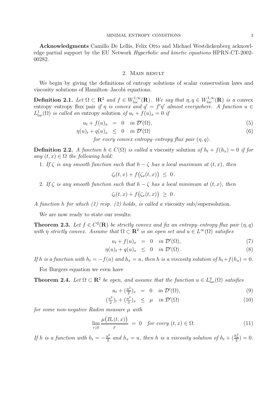**Acknowledgments** Camillo De Lellis, Felix Otto and Michael Westdickenberg acknowledge partial support by the EU Network *Hyperbolic and kinetic equations* HPRN-CT-2002- 00282.

#### 2. Main result

We begin by giving the definitions of entropy solutions of scalar conservation laws and viscosity solutions of Hamilton–Jacobi equations.

**Definition 2.1.** *Let*  $\Omega \subset \mathbb{R}^2$  *and*  $f \in W_{loc}^{1,\infty}(\mathbb{R})$ *. We say that*  $\eta, q \in W_{loc}^{1,\infty}(\mathbb{R})$  *is a* convex entropy–entropy flux pair *if*  $\eta$  *is convex and*  $q' = f'\eta'$  *almost everywhere.* A function  $u \in$  $L^1_{loc}(\Omega)$  *is called an* entropy solution of  $u_t + f(u)_x = 0$  *if* 

$$
u_t + f(u)_x = 0 \quad \text{in } \mathcal{D}'(\Omega), \tag{5}
$$

$$
\eta(u)_t + q(u)_x \leq 0 \quad \text{in } \mathcal{D}'(\Omega) \tag{6}
$$

*for every convex entropy–entropy flux pair* (η, q)*.*

**Definition 2.2.** *A function*  $h \in C(\Omega)$  *is called a* viscosity solution *of*  $h_t + f(h_x) = 0$  *if for any*  $(t, x) \in \Omega$  *the following hold:* 

1. If  $\zeta$  *is any smooth function such that*  $h - \zeta$  *has a local maximum at*  $(t, x)$ *, then* 

$$
\zeta_t(t,x)+f(\zeta_x(t,x))\ \leq\ 0\,.
$$

2. If  $\zeta$  *is any smooth function such that*  $h - \zeta$  *has a local minimum at*  $(t, x)$ *, then* 

$$
\zeta_t(t,x)+f\big(\zeta_x(t,x)\big) \ \geq \ 0\,.
$$

*A function* h *for which (1) resp. (2) holds, is called a* viscosity sub/supersolution*.*

We are now ready to state our results:

**Theorem 2.3.** Let  $f \in C^2(\mathbf{R})$  be strictly convex and fix an entropy–entropy flux pair  $(\eta, q)$ *with*  $\eta$  *strictly convex.* Assume that  $\Omega \subset \mathbb{R}^2$  *is an open set and*  $u \in L^{\infty}(\Omega)$  *satisfies* 

$$
u_t + f(u)_x = 0 \quad in \mathcal{D}'(\Omega), \tag{7}
$$

$$
\eta(u)_t + q(u)_x \leq 0 \quad \text{in } \mathcal{D}'(\Omega). \tag{8}
$$

*If* h is a function with  $h_t = -f(u)$  and  $h_x = u$ , then h is a viscosity solution of  $h_t + f(h_x) = 0$ .

For Burgers equation we even have

**Theorem 2.4.** Let  $\Omega \subset \mathbb{R}^2$  be open, and assume that the function  $u \in L^4_{loc}(\Omega)$  satisfies

$$
u_t + \left(\frac{u^2}{2}\right)x = 0 \quad in \ \mathcal{D}'(\Omega), \tag{9}
$$

$$
\left(\frac{u^2}{2}\right)_t + \left(\frac{u^3}{3}\right)_x \le \mu \quad \text{in } \mathcal{D}'(\Omega) \tag{10}
$$

*for some non-negative Radon measure* µ *with*

$$
\lim_{r \downarrow 0} \frac{\mu(B_r(t, x))}{r} = 0 \quad \text{for every } (t, x) \in \Omega. \tag{11}
$$

*If* h *is a function with*  $h_t = -\frac{u^2}{2}$  *and*  $h_x = u$ , *then* h *is a viscosity solution of*  $h_t + (\frac{h_x^2}{2}) = 0$ .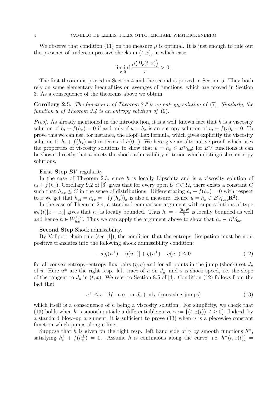We observe that condition (11) on the measure  $\mu$  is optimal. It is just enough to rule out the presence of undercompressive shocks in  $(t, x)$ , in which case

$$
\liminf_{r\downarrow 0}\frac{\mu\big(B_r(t,x)\big)}{r}>0\,.
$$

The first theorem is proved in Section 4 and the second is proved in Section 5. They both rely on some elementary inequalities on averages of functions, which are proved in Section 3. As a consequence of the theorems above we obtain:

**Corollary 2.5.** *The function* u *of Theorem 2.3 is an entropy solution of* (7)*. Similarly, the function* u *of Theorem 2.4 is an entropy solution of* (9)*.*

*Proof.* As already mentioned in the introduction, it is a well–known fact that h is a viscosity solution of  $h_t + f(h_x) = 0$  if and only if  $u = h_x$  is an entropy solution of  $u_t + f(u)_t = 0$ . To prove this we can use, for instance, the Hopf–Lax formula, which gives explicitly the viscosity solution to  $h_t + f(h_x) = 0$  in terms of  $h(0, \cdot)$ . We here give an alternative proof, which uses the properties of viscosity solutions to show that  $u = h_x \in BV_{loc}$ ; for BV functions it can be shown directly that  $u$  meets the shock–admissibility criterion which distinguishes entropy solutions.

# **First Step** BV regularity.

In the case of Theorem 2.3, since  $h$  is locally Lipschitz and is a viscosity solution of  $h_t + f(h_x)$ , Corollary 9.2 of [6] gives that for every open  $U \subset\subset \Omega$ , there exists a constant C such that  $h_{xx} \leq C$  in the sense of distributions. Differentiating  $h_t + f(h_x) = 0$  with respect to x we get that  $h_{xt} = h_{tx} = -(f(h_x))_x$  is also a measure. Hence  $u = h_x \in BV_{loc}(\mathbb{R}^2)$ .

In the case of Theorem 2.4, a standard comparison argument with supersolutions of type  $k\psi(t)|x-x_0|$  gives that  $h_x$  is locally bounded. Thus  $h_t = -\frac{(h_x)^2}{2}$  is locally bounded as well and hence  $h \in W_{loc}^{1,\infty}$ . Thus we can apply the argument above to show that  $h_x \in BV_{loc}$ .

# **Second Step** Shock admissibility.

By Vol'pert chain rule (see [1]), the condition that the entropy dissipation must be nonpositive translates into the following shock admissibility condition:

$$
-s[\eta(u^+) - \eta(u^-)] + q(u^+) - q(u^-) \le 0 \tag{12}
$$

for all convex entropy–entropy flux pairs  $(\eta, q)$  and for all points in the jump (shock) set  $J_u$ of u. Here  $u^{\pm}$  are the right resp. left trace of u on  $J_u$ , and s is shock speed, i.e. the slope of the tangent to  $J_u$  in  $(t, x)$ . We refer to Section 8.5 of [4]. Condition (12) follows from the fact that

$$
u^{+} \leq u^{-} \mathcal{H}^{1}-a.e. \text{ on } J_{u} \text{ (only decreasing jumps)}
$$
\n
$$
(13)
$$

which itself is a consequence of  $h$  being a viscosity solution. For simplicity, we check that (13) holds when h is smooth outside a differentiable curve  $\gamma := \{(t, x(t)) | t \geq 0\}$ . Indeed, by a standard blow–up argument, it is sufficient to prove  $(13)$  when u is a piecewise constant function which jumps along a line.

Suppose that h is given on the right resp. left hand side of  $\gamma$  by smooth functions  $h^{\pm}$ , satisfying  $h_t^{\pm} + f(h_x^{\pm}) = 0$ . Assume h is continuous along the curve, i.e.  $h^+(t, x(t)) =$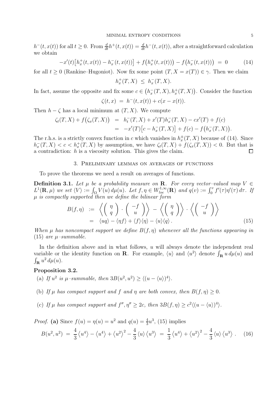$h^-(t, x(t))$  for all  $t \geq 0$ . From  $\frac{d}{dt}h^+(t, x(t)) = \frac{d}{dt}h^-(t, x(t))$ , after a straightforward calculation we obtain

$$
-x'(t)\left[h_x^+(t,x(t)) - h_x^-(t,x(t))\right] + f\left(h_x^+(t,x(t))\right) - f\left(h_x^-(t,x(t))\right) = 0 \tag{14}
$$

for all  $t > 0$  (Rankine–Hugoniot). Now fix some point  $(T, X = x(T)) \in \gamma$ . Then we claim

$$
h_x^+(T, X) \ \leq \ h_x^-(T, X).
$$

In fact, assume the opposite and fix some  $c \in (h_x^-(T,X), h_x^+(T,X))$ . Consider the function

$$
\zeta(t,x) = h^-(t,x(t)) + c(x - x(t)).
$$

Then  $h - \zeta$  has a local minimum at  $(T, X)$ . We compute

$$
\begin{array}{rcl}\n\zeta_t(T,X) + f(\zeta_x(T,X)) & = & h_t^-(T,X) + x'(T)h_x^-(T,X) - cx'(T) + f(c) \\
& = & -x'(T)\big[c - h_x^-(T,X)\big] + f(c) - f\big(h_x^-(T,X)\big).\n\end{array}
$$

The r.h.s. is a strictly convex function in c which vanishes in  $h_x^{\pm}(T, X)$  because of (14). Since  $h_x^{-}(T,X) < c < h_x^{+}(T,X)$  by assumption, we have  $\zeta_t(T,X) + f(\zeta_x(T,X)) < 0$ . But that is a contradiction:  $h$  is a viscosity solution. This gives the claim.  $\Box$ 

# 3. Preliminary lemmas on averages of functions

To prove the theorems we need a result on averages of functions.

**Definition 3.1.** Let  $\mu$  be a probability measure on **R**. For every vector-valued map  $V \in$  $L^1(\mathbf{R}, \mu)$  we set  $\langle V \rangle := \int_{\Omega} V(u) d\mu(u)$ . Let  $f, \eta \in W_{loc}^{1,\infty}(\mathbf{R})$  and  $q(v) := \int_0^v f'(\tau) \eta'(\tau) d\tau$ . If µ *is compactly supported then we define the bilinear form*

$$
B(f,\eta) := \left\langle \left( \begin{array}{c} \eta \\ q \end{array} \right) \cdot \left( \begin{array}{c} -f \\ u \end{array} \right) \right\rangle - \left\langle \left( \begin{array}{c} \eta \\ q \end{array} \right) \right\rangle \cdot \left\langle \left( \begin{array}{c} -f \\ u \end{array} \right) \right\rangle
$$
  
=  $\langle uq \rangle - \langle \eta f \rangle + \langle f \rangle \langle \eta \rangle - \langle u \rangle \langle q \rangle.$  (15)

*When*  $\mu$  *has noncompact support we define*  $B(f, \eta)$  *whenever all the functions appearing in*  $(15)$  *are*  $\mu$ -summable.

In the definition above and in what follows,  $u$  will always denote the independent real variable or the identity function on **R**. For example,  $\langle u \rangle$  and  $\langle u^2 \rangle$  denote  $\int_{\mathbf{R}} u d\mu(u)$  and  $\int_{\mathbf{R}} u^2 d\mu(u)$ .

# **Proposition 3.2.**

- (a) If  $u^2$  is  $\mu$ -summable, then  $3B(u^2, u^2) \ge \langle (u \langle u \rangle)^4 \rangle$ .
- (b) If  $\mu$  has compact support and f and  $\eta$  are both convex, then  $B(f, \eta) \geq 0$ .
- (c) If  $\mu$  has compact support and  $f'', \eta'' \geq 2c$ , then  $3B(f, \eta) \geq c^2 \langle (u \langle u \rangle)^4 \rangle$ .

*Proof.* (a) Since  $f(u) = \eta(u) = u^2$  and  $q(u) = \frac{4}{3}u^3$ , (15) implies

$$
B(u^2, u^2) = \frac{4}{3} \langle u^4 \rangle - \langle u^4 \rangle + \langle u^2 \rangle^2 - \frac{4}{3} \langle u \rangle \langle u^3 \rangle = \frac{1}{3} \langle u^4 \rangle + \langle u^2 \rangle^2 - \frac{4}{3} \langle u \rangle \langle u^3 \rangle. \tag{16}
$$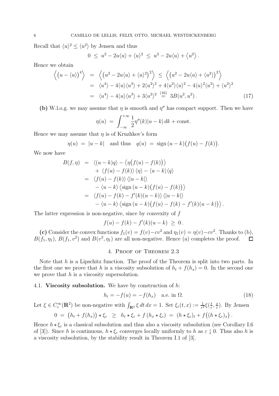Recall that  $\langle u \rangle^2 \le \langle u^2 \rangle$  by Jensen and thus

$$
0 \leq u^2 - 2u \langle u \rangle + \langle u \rangle^2 \leq u^2 - 2u \langle u \rangle + \langle u^2 \rangle.
$$

Hence we obtain

$$
\left\langle \left(u - \langle u \rangle \right)^4 \right\rangle = \left\langle \left(u^2 - 2u \langle u \rangle + \langle u \rangle^2 \right)^2 \right\rangle \le \left\langle \left(u^2 - 2u \langle u \rangle + \langle u^2 \rangle \right)^2 \right\rangle
$$
  
=  $\langle u^4 \rangle - 4 \langle u \rangle \langle u^3 \rangle + 2 \langle u^2 \rangle^2 + 4 \langle u^2 \rangle \langle u \rangle^2 - 4 \langle u \rangle^2 \langle u^2 \rangle + \langle u^2 \rangle^2$   
=  $\langle u^4 \rangle - 4 \langle u \rangle \langle u^3 \rangle + 3 \langle u^2 \rangle^2 \stackrel{\text{(16)}}{=} 3B(u^2, u^2).$  (17)

(b) W.l.o.g. we may assume that  $\eta$  is smooth and  $\eta''$  has compact support. Then we have

$$
\eta(u) = \int_{-\infty}^{+\infty} \frac{1}{2} \eta''(k) |u - k| \, dk + \text{const.}
$$

Hence we may assume that  $\eta$  is of Kruzhkov's form

$$
\eta(u) = |u - k|
$$
 and thus  $q(u) = sign(u - k)(f(u) - f(k)).$ 

We now have

$$
B(f, \eta) = \langle (u - k)q \rangle - \langle \eta (f(u) - f(k)) \rangle
$$
  
+  $\langle f(u) - f(k) \rangle \langle \eta \rangle - \langle u - k \rangle \langle q \rangle$   
=  $\langle f(u) - f(k) \rangle \langle |u - k| \rangle$   
-  $\langle u - k \rangle \langle \text{sign}(u - k) (f(u) - f(k)) \rangle$   
=  $\langle f(u) - f(k) - f'(k)(u - k) \rangle \langle |u - k| \rangle$   
-  $\langle u - k \rangle \langle \text{sign}(u - k) (f(u) - f(k) - f'(k)(u - k)) \rangle$ .

The latter expression is non-negative, since by convexity of  $f$ 

$$
f(u) - f(k) - f'(k)(u - k) \geq 0.
$$

(c) Consider the convex functions  $f_1(v) = f(v) - cv^2$  and  $\eta_1(v) = \eta(v) - cv^2$ . Thanks to (b),  $B(f_1, \eta_1), B(f_1, v^2)$  and  $B(v^2, \eta_1)$  are all non-negative. Hence (a) completes the proof.  $\Box$ 

# 4. Proof of Theorem 2.3

Note that  $h$  is a Lipschitz function. The proof of the Theorem is split into two parts. In the first one we prove that h is a viscosity subsolution of  $h_t + f(h_x) = 0$ . In the second one we prove that  $h$  is a viscosity supersolution.

# 4.1. **Viscosity subsolution.** We have by construction of h:

$$
h_t = -f(u) = -f(h_x) \quad \text{a.e. in } \Omega. \tag{18}
$$

Let  $\xi \in C_c^{\infty}(\mathbf{R}^2)$  be non-negative with  $\int_{\mathbf{R}^2} \xi \, dt \, dx = 1$ . Set  $\xi_{\varepsilon}(t, x) := \frac{1}{\varepsilon^2} \xi(\frac{t}{\varepsilon}, \frac{x}{\varepsilon})$ . By Jensen  $0 = (h_t + f(h_x)) \star \xi_{\varepsilon} \geq h_t \star \xi_{\varepsilon} + f(h_x \star \xi_{\varepsilon}) = (h \star \xi_{\varepsilon})_t + f((h \star \xi_{\varepsilon})_x).$ 

Hence  $h \star \xi_{\varepsilon}$  is a classical subsolution and thus also a viscosity subsolution (see Corollary I.6 of [3]). Since h is continuous,  $h \star \xi_{\varepsilon}$  converges locally uniformly to h as  $\varepsilon \downarrow 0$ . Thus also h is a viscosity subsolution, by the stability result in Theorem I.1 of [3].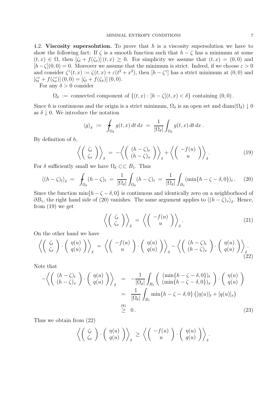4.2. **Viscosity supersolution.** To prove that h is a viscosity supersolution we have to show the following fact: If  $\zeta$  is a smooth function such that  $h - \zeta$  has a minimum at some  $(t, x) \in \Omega$ , then  $[\zeta_t + f(\zeta_x)](t, x) \geq 0$ . For simplicity we assume that  $(t, x) = (0, 0)$  and  $[h-\zeta](0,0) = 0.$  Moreover we assume that the minimum is strict. Indeed, if we choose  $\varepsilon > 0$ and consider  $\zeta^{\varepsilon}(t,x) := \zeta(t,x) + \varepsilon(t^2 + x^2)$ , then  $[h - \zeta^{\varepsilon}]$  has a strict minimum at  $(0,0)$  and  $\left[\zeta_t^{\varepsilon}+f(\zeta_x^{\varepsilon})\right](0,0)=\left[\zeta_t+f(\zeta_x)\right](0,0).$ 

For any  $\delta > 0$  consider

 $\Omega_{\delta}$  := connected component of  $\{(t, x):[h-\zeta](t, x)<\delta\}$  containing  $(0, 0)$ .

Since h is continuous and the origin is a strict minimum,  $\Omega_{\delta}$  is an open set and diam( $\Omega_{\delta}$ )  $\downarrow$  0 as  $\delta \downarrow 0$ . We introduce the notation

$$
\langle g \rangle_{\delta} \; := \; \int_{\Omega_{\delta}} g(t,x) \, dt \, dx \; = \; \frac{1}{|\Omega_{\delta}|} \int_{\Omega_{\delta}} g(t,x) \, dt \, dx \, .
$$

By definition of  $h$ ,

$$
\left\langle \left( \begin{array}{c} \zeta_t \\ \zeta_x \end{array} \right) \right\rangle_{\delta} = -\left\langle \left( \begin{array}{c} (h-\zeta)_t \\ (h-\zeta)_x \end{array} \right) \right\rangle_{\delta} + \left\langle \left( \begin{array}{c} -f(u) \\ u \end{array} \right) \right\rangle_{\delta}.
$$
\n(19)

For  $\delta$  sufficiently small we have  $\Omega_{\delta} \subset\subset B_1$ . Thus

$$
\langle (h-\zeta)_t \rangle_{\delta} = \int_{\Omega_{\delta}} (h-\zeta)_t = \frac{1}{|\Omega_{\delta}|} \int_{\Omega_{\delta}} (h-\zeta)_t = \frac{1}{|\Omega_{\delta}|} \int_{B_1} (\min\{h-\zeta-\delta,0\})_t. \tag{20}
$$

Since the function min $\{h - \zeta - \delta, 0\}$  is continuous and identically zero on a neighborhood of  $\partial B_1$ , the right hand side of (20) vanishes. The same argument applies to  $\langle (h - \zeta)_x \rangle_{\delta}$ . Hence, from (19) we get

$$
\left\langle \left( \begin{array}{c} \zeta_t \\ \zeta_x \end{array} \right) \right\rangle_{\delta} = \left\langle \left( \begin{array}{c} -f(u) \\ u \end{array} \right) \right\rangle_{\delta}.
$$
 (21)

On the other hand we have

$$
\left\langle \begin{pmatrix} \zeta_t \\ \zeta_x \end{pmatrix} \cdot \begin{pmatrix} \eta(u) \\ q(u) \end{pmatrix} \right\rangle_{\delta} = \left\langle \begin{pmatrix} -f(u) \\ u \end{pmatrix} \cdot \begin{pmatrix} \eta(u) \\ q(u) \end{pmatrix} \right\rangle_{\delta} - \left\langle \begin{pmatrix} (h-\zeta)_t \\ (h-\zeta)_x \end{pmatrix} \cdot \begin{pmatrix} \eta(u) \\ q(u) \end{pmatrix} \right\rangle_{\delta}.
$$
\n(22)

Note that

$$
-\left\langle \begin{array}{cc} (h-\zeta)_t \\ (h-\zeta)_x \end{array} \right\rangle \cdot \begin{pmatrix} \eta(u) \\ q(u) \end{pmatrix} \right\rangle_{\delta} = -\frac{1}{|\Omega_{\delta}|} \int_{B_1} \begin{pmatrix} (\min\{h-\zeta-\delta,0\})_t \\ (\min\{h-\zeta-\delta,0\})_x \end{pmatrix} \cdot \begin{pmatrix} \eta(u) \\ q(u) \end{pmatrix}
$$
  

$$
= \frac{1}{|\Omega_{\delta}|} \int_{B_1} \min\{h-\zeta-\delta,0\} \left( [\eta(u)]_t + [q(u)]_x \right)
$$
  

$$
\stackrel{(8)}{\geq} 0.
$$
 (23)

Thus we obtain from (22)

$$
\left\langle \left( \begin{array}{c} \zeta_t \\ \zeta_x \end{array} \right) \cdot \left( \begin{array}{c} \eta(u) \\ q(u) \end{array} \right) \right\rangle_{\delta} \geq \left\langle \left( \begin{array}{c} -f(u) \\ u \end{array} \right) \cdot \left( \begin{array}{c} \eta(u) \\ q(u) \end{array} \right) \right\rangle_{\delta}.
$$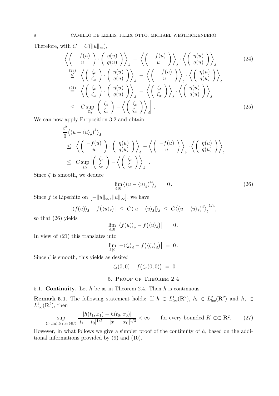Therefore, with  $C = C(||u||_{\infty})$ ,

$$
\left\langle \begin{pmatrix} -f(u) \\ u \end{pmatrix} \cdot \begin{pmatrix} \eta(u) \\ q(u) \end{pmatrix} \right\rangle_{\delta} - \left\langle \begin{pmatrix} -f(u) \\ u \end{pmatrix} \right\rangle_{\delta} \cdot \left\langle \begin{pmatrix} \eta(u) \\ q(u) \end{pmatrix} \right\rangle_{\delta}
$$
\n
$$
\stackrel{(23)}{\leq} \left\langle \begin{pmatrix} \zeta_t \\ \zeta_x \end{pmatrix} \cdot \begin{pmatrix} \eta(u) \\ q(u) \end{pmatrix} \right\rangle_{\delta} - \left\langle \begin{pmatrix} -f(u) \\ u \end{pmatrix} \right\rangle_{\delta} \cdot \left\langle \begin{pmatrix} \eta(u) \\ q(u) \end{pmatrix} \right\rangle_{\delta}
$$
\n
$$
\stackrel{(21)}{=} \left\langle \begin{pmatrix} \zeta_t \\ \zeta_x \end{pmatrix} \cdot \begin{pmatrix} \eta(u) \\ q(u) \end{pmatrix} \right\rangle_{\delta} - \left\langle \begin{pmatrix} \zeta_t \\ \zeta_x \end{pmatrix} \right\rangle_{\delta} \cdot \left\langle \begin{pmatrix} \eta(u) \\ q(u) \end{pmatrix} \right\rangle_{\delta}
$$
\n
$$
\leq C \sup_{\Omega_{\delta}} \left| \begin{pmatrix} \zeta_t \\ \zeta_x \end{pmatrix} - \left\langle \begin{pmatrix} \zeta_t \\ \zeta_x \end{pmatrix} \right\rangle_{\delta} \right|.
$$
\n(25)

We can now apply Proposition 3.2 and obtain

$$
\frac{c^2}{3} \langle (u - \langle u \rangle_{\delta})^4 \rangle_{\delta} \n\leq \left\langle \begin{pmatrix} -f(u) \\ u \end{pmatrix} \cdot \begin{pmatrix} \eta(u) \\ q(u) \end{pmatrix} \right\rangle_{\delta} - \left\langle \begin{pmatrix} -f(u) \\ u \end{pmatrix} \right\rangle_{\delta} \cdot \left\langle \begin{pmatrix} \eta(u) \\ q(u) \end{pmatrix} \right\rangle_{\delta} \n\leq C \sup_{\Omega_{\delta}} \left| \begin{pmatrix} \zeta_t \\ \zeta_x \end{pmatrix} - \left\langle \begin{pmatrix} \zeta_t \\ \zeta_x \end{pmatrix} \right\rangle_{\delta} \right|.
$$

Since  $\zeta$  is smooth, we deduce

$$
\lim_{\delta \downarrow 0} \left\langle (u - \langle u \rangle_{\delta})^4 \right\rangle_{\delta} = 0. \tag{26}
$$

Since f is Lipschitz on  $[-||u||_{\infty}, ||u||_{\infty}]$ , we have

$$
\left| \langle f(u) \rangle_{\delta} - f(\langle u \rangle_{\delta}) \right| \leq C \langle |u - \langle u \rangle_{\delta} | \rangle_{\delta} \leq C \langle (u - \langle u \rangle_{\delta})^4 \rangle_{\delta}^{1/4},
$$

so that (26) yields

$$
\lim_{\delta\downarrow 0} \left| \langle f(u)\rangle_\delta - f\big(\langle u\rangle_\delta\big) \right| \;=\; 0\,.
$$

In view of (21) this translates into

$$
\lim_{\delta\downarrow 0}\left|-\langle\zeta_t\rangle_\delta-f\big(\langle\zeta_x\rangle_\delta\big)\right| = 0.
$$

Since  $\zeta$  is smooth, this yields as desired

$$
-\zeta_t(0,0) - f(\zeta_x(0,0)) = 0.
$$

# 5. Proof of Theorem 2.4

5.1. **Continuity.** Let h be as in Theorem 2.4. Then h is continuous.

**Remark 5.1.** The following statement holds: If  $h \in L^{1}_{loc}(\mathbb{R}^{2}), h_{t} \in L^{2}_{loc}(\mathbb{R}^{2})$  and  $h_{x} \in L^{2}_{loc}(\mathbb{R}^{2})$  $L_{loc}^4(\mathbf{R}^2)$ , then

$$
\sup_{(t_0, x_0), (t_1, x_1) \in K} \frac{|h(t_1, x_1) - h(t_0, x_0)|}{|t_1 - t_0|^{1/5} + |x_1 - x_0|^{1/3}} < \infty \qquad \text{for every bounded } K \subset\subset \mathbf{R}^2. \tag{27}
$$

However, in what follows we give a simpler proof of the continuity of  $h$ , based on the additional informations provided by (9) and (10).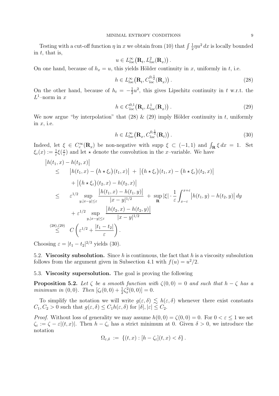Testing with a cut-off function  $\eta$  in x we obtain from (10) that  $\int \frac{1}{2} \eta u^2 dx$  is locally bounded in  $t$ , that is,

$$
u \in L^{\infty}_{loc}(\mathbf{R}_t, L^2_{loc}(\mathbf{R}_x))
$$

On one hand, because of  $h_x = u$ , this yields Hölder continuity in x, uniformly in t, i.e.

$$
h \in L_{loc}^{\infty}\left(\mathbf{R}_t, C_{loc}^{0,\frac{1}{2}}(\mathbf{R}_x)\right).
$$
 (28)

.

On the other hand, because of  $h_t = -\frac{1}{2}u^2$ , this gives Lipschitz continuity in t w.r.t. the  $L^1$ –norm in x

$$
h \in C_{loc}^{0,1}(\mathbf{R}_t, L_{loc}^1(\mathbf{R}_x))\,. \tag{29}
$$

We now argue "by interpolation" that  $(28) \& (29)$  imply Hölder continuity in t, uniformly in  $x$ , i.e.

$$
h \in L_{loc}^{\infty}(\mathbf{R}_x, C_{loc}^{0,\frac{1}{3}}(\mathbf{R}_t))\,. \tag{30}
$$

Indeed, let  $\xi \in C_c^{\infty}(\mathbf{R}_x)$  be non-negative with supp  $\xi \subset (-1,1)$  and  $\int_{\mathbf{R}} \xi dx = 1$ . Set  $\xi_{\varepsilon}(x) := \frac{1}{\varepsilon} \xi(\frac{x}{\varepsilon})$  and let  $\star$  denote the convolution in the x-variable. We have

$$
|h(t_1, x) - h(t_2, x)|
$$
  
\n
$$
\leq |h(t_1, x) - (h \star \xi_{\varepsilon})(t_1, x)| + |(h \star \xi_{\varepsilon})(t_1, x) - (h \star \xi_{\varepsilon})(t_2, x)|
$$
  
\n
$$
+ |(h \star \xi_{\varepsilon})(t_2, x) - h(t_2, x)|
$$
  
\n
$$
\leq \varepsilon^{1/2} \sup_{y, |x-y| \leq \varepsilon} \frac{|h(t_1, x) - h(t_1, y)|}{|x - y|^{1/2}} + \sup_{\mathbf{R}} |\xi| \cdot \frac{1}{\varepsilon} \int_{x - \varepsilon}^{x + \varepsilon} |h(t_1, y) - h(t_2, y)| dy
$$
  
\n
$$
+ \varepsilon^{1/2} \sup_{y, |x - y| \leq \varepsilon} \frac{|h(t_2, x) - h(t_2, y)|}{|x - y|^{1/2}}
$$
  
\n(28),(29)  $C\left(\varepsilon^{1/2} + \frac{|t_1 - t_2|}{\varepsilon}\right).$ 

Choosing  $\varepsilon = |t_1 - t_2|^{2/3}$  yields (30).

5.2. **Viscosity subsolution.** Since h is continuous, the fact that h is a viscosity subsolution follows from the argument given in Subsection 4.1 with  $f(u) = u^2/2$ .

## 5.3. **Viscosity supersolution.** The goal is proving the following

**Proposition 5.2.** Let  $\zeta$  be a smooth function with  $\zeta(0,0) = 0$  and such that  $h - \zeta$  has a *minimum in* (0,0). Then  $[\zeta_t(0,0) + \frac{1}{2}\zeta_x^2(0,0)] = 0.$ 

To simplify the notation we will write  $g(\varepsilon,\delta) \lesssim h(\varepsilon,\delta)$  whenever there exist constants  $C_1, C_2 > 0$  such that  $g(\varepsilon, \delta) \leq C_1 h(\varepsilon, \delta)$  for  $|\delta|, |\varepsilon| \leq C_2$ .

*Proof.* Without loss of generality we may assume  $h(0,0) = \zeta(0,0) = 0$ . For  $0 < \varepsilon < 1$  we set  $\zeta_{\varepsilon} := \zeta - \varepsilon |(t, x)|$ . Then  $h - \zeta_{\varepsilon}$  has a strict minimum at 0. Given  $\delta > 0$ , we introduce the notation

$$
\Omega_{\varepsilon,\delta} \; := \; \{(t,x): [h-\zeta_{\varepsilon}](t,x) < \delta\} \, .
$$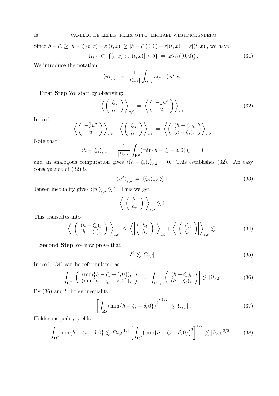Since  $h - \zeta_{\varepsilon} \geq [h - \zeta](t, x) + \varepsilon |(t, x)| \geq [h - \zeta](0, 0) + \varepsilon |(t, x)| = \varepsilon |(t, x)|$ , we have  $\Omega_{\varepsilon,\delta} \subset \{(t,x): \varepsilon | (t,x) | < \delta \} = B_{\delta/\varepsilon}((0,0))$ . (31)

We introduce the notation

$$
\langle u \rangle_{\varepsilon,\delta} \; := \; \frac{1}{|\Omega_{\varepsilon,\delta}|} \int_{\Omega_{\varepsilon,\delta}} u(t,x) \, dt \, dx \, .
$$

**First Step** We start by observing:

$$
\left\langle \left( \begin{array}{c} \zeta_{\varepsilon t} \\ \zeta_{\varepsilon x} \end{array} \right) \right\rangle_{\varepsilon,\delta} = \left\langle \left( \begin{array}{c} -\frac{1}{2}u^2 \\ u \end{array} \right) \right\rangle_{\varepsilon,\delta}.
$$
 (32)

Indeed

$$
\left\langle \left( \begin{array}{c} -\frac{1}{2}u^2 \\ u \end{array} \right) \right\rangle_{\varepsilon,\delta} - \left\langle \left( \begin{array}{c} \zeta_{\varepsilon t} \\ \zeta_{\varepsilon x} \end{array} \right) \right\rangle_{\varepsilon,\delta} = \left\langle \left( \begin{array}{c} (h-\zeta_{\varepsilon})_t \\ (h-\zeta_{\varepsilon})_x \end{array} \right) \right\rangle_{\varepsilon,\delta}.
$$

Note that

$$
\langle h - \zeta_{\varepsilon t} \rangle_{\varepsilon, \delta} = \frac{1}{|\Omega_{\varepsilon, \delta}|} \int_{\mathbf{R}^2} (\min\{h - \zeta_{\varepsilon} - \delta, 0\})_t = 0,
$$

and an analogous computation gives  $\langle (h - \zeta_{\varepsilon})_x \rangle_{\varepsilon, \delta} = 0$ . This establishes (32). An easy consequence of (32) is

$$
\left\langle u^2 \right\rangle_{\varepsilon,\delta} = \left\langle \zeta_{\varepsilon t} \right\rangle_{\varepsilon,\delta} \lesssim 1. \tag{33}
$$

Jensen inequality gives  $\langle |u| \rangle_{\varepsilon,\delta} \lesssim 1$ . Thus we get

$$
\left\langle \left| \left( \begin{array}{c} h_t \\ h_x \end{array} \right) \right| \right\rangle_{\varepsilon,\delta} \lesssim 1.
$$

This translates into

$$
\left\langle \left| \left( \begin{array}{c} (h - \zeta_{\varepsilon})_t \\ (h - \zeta_{\varepsilon})_x \end{array} \right) \right| \right\rangle_{\varepsilon, \delta} \leq \left\langle \left| \left( \begin{array}{c} h_t \\ h_x \end{array} \right) \right| \right\rangle_{\varepsilon, \delta} + \left\langle \left| \left( \begin{array}{c} \zeta_{\varepsilon t} \\ \zeta_{\varepsilon x} \end{array} \right) \right| \right\rangle_{\varepsilon, \delta} \lesssim 1 \tag{34}
$$

**Second Step** We now prove that

$$
\delta^2 \lesssim |\Omega_{\varepsilon,\delta}| \,. \tag{35}
$$

Indeed, (34) can be reformulated as

$$
\int_{\mathbf{R}^2} \left| \begin{array}{c} (\min\{h - \zeta_{\varepsilon} - \delta, 0\})_t \\ (\min\{h - \zeta_{\varepsilon} - \delta, 0\})_x \end{array} \right| \right| \ = \ \int_{\Omega_{\varepsilon,\delta}} \left| \begin{array}{c} (h - \zeta_{\varepsilon})_t \\ (h - \zeta_{\varepsilon})_x \end{array} \right| \ \lesssim \left| \Omega_{\varepsilon,\delta} \right|. \tag{36}
$$

By (36) and Sobolev inequality,

$$
\left[\int_{\mathbf{R}^2} \left(\min\{h - \zeta_{\varepsilon} - \delta, 0\}\right)^2\right]^{1/2} \lesssim |\Omega_{\varepsilon,\delta}|.
$$
 (37)

Hölder inequality yields

$$
-\int_{\mathbf{R}^2} \min\{h - \zeta_{\varepsilon} - \delta, 0\} \lesssim |\Omega_{\varepsilon,\delta}|^{1/2} \left[ \int_{\mathbf{R}^2} \left(\min\{h - \zeta_{\varepsilon} - \delta, 0\}\right)^2 \right]^{1/2} \lesssim |\Omega_{\varepsilon,\delta}|^{3/2} \,. \tag{38}
$$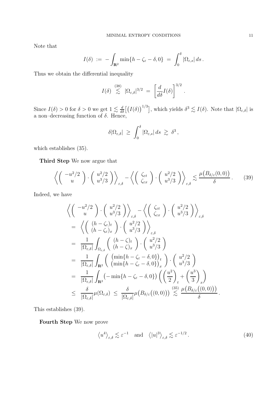Note that

$$
I(\delta) \; := \; -\int_{\mathbf{R}^2} \min\{h - \zeta_{\varepsilon} - \delta, 0\} \; = \; \int_0^{\delta} |\Omega_{\varepsilon,s}| \, ds \, .
$$

Thus we obtain the differential inequality

$$
I(\delta) \stackrel{(38)}{\lesssim} |\Omega_{\varepsilon,\delta}|^{3/2} = \left[ \frac{d}{d\delta} I(\delta) \right]^{3/2}
$$

.

Since  $I(\delta) > 0$  for  $\delta > 0$  we get  $1 \lesssim \frac{d}{d\delta} \left[ \left( I(\delta) \right)^{1/3} \right]$ , which yields  $\delta^3 \lesssim I(\delta)$ . Note that  $|\Omega_{\varepsilon,\delta}|$  is a non–decreasing function of  $\delta$ . Hence,

$$
\delta |\Omega_{\varepsilon,\delta}| \ \geq \ \int_0^\delta |\Omega_{\varepsilon,s}|\,ds \ \gtrsim \ \delta^3\,,
$$

which establishes (35).

**Third Step** We now argue that

$$
\left\langle \begin{pmatrix} -u^2/2 \\ u \end{pmatrix} \cdot \begin{pmatrix} u^2/2 \\ u^3/3 \end{pmatrix} \right\rangle_{\varepsilon,\delta} - \left\langle \begin{pmatrix} \zeta_{\varepsilon t} \\ \zeta_{\varepsilon x} \end{pmatrix} \cdot \begin{pmatrix} u^2/2 \\ u^3/3 \end{pmatrix} \right\rangle_{\varepsilon,\delta} \lesssim \frac{\mu(B_{\delta/\varepsilon}(0,0))}{\delta}.
$$
 (39)

Indeed, we have

$$
\left\langle \begin{pmatrix} -u^2/2 \\ u \end{pmatrix} \cdot \begin{pmatrix} u^2/2 \\ u^3/3 \end{pmatrix} \right\rangle_{\varepsilon,\delta} - \left\langle \begin{pmatrix} \zeta_{\varepsilon t} \\ \zeta_{\varepsilon x} \end{pmatrix} \cdot \begin{pmatrix} u^2/2 \\ u^3/3 \end{pmatrix} \right\rangle_{\varepsilon,\delta}
$$
\n
$$
= \left\langle \begin{pmatrix} (h - \zeta_{\varepsilon})_t \\ (h - \zeta_{\varepsilon})_x \end{pmatrix} \cdot \begin{pmatrix} u^2/2 \\ u^3/3 \end{pmatrix} \right\rangle_{\varepsilon,\delta}
$$
\n
$$
= \frac{1}{|\Omega_{\varepsilon,\delta}|} \int_{\Omega_{\varepsilon,\delta}} \begin{pmatrix} (h - \zeta)_t \\ (h - \zeta)_x \end{pmatrix} \cdot \begin{pmatrix} u^2/2 \\ u^3/3 \end{pmatrix}
$$
\n
$$
= \frac{1}{|\Omega_{\varepsilon,\delta}|} \int_{\mathbf{R}^2} \begin{pmatrix} (\min\{h - \zeta_{\varepsilon} - \delta, 0\})_t \\ (\min\{h - \zeta_{\varepsilon} - \delta, 0\})_x \end{pmatrix} \cdot \begin{pmatrix} u^2/2 \\ u^3/3 \end{pmatrix}
$$
\n
$$
= \frac{1}{|\Omega_{\varepsilon,\delta}|} \int_{\mathbf{R}^2} (-\min\{h - \zeta_{\varepsilon} - \delta, 0\}) \left( \begin{pmatrix} \frac{u^2}{2} \\ \frac{u^3}{2} \end{pmatrix} + \begin{pmatrix} \frac{u^3}{3} \\ \frac{u^3}{3} \end{pmatrix} \right)
$$
\n
$$
\leq \frac{\delta}{|\Omega_{\varepsilon,\delta}|} \mu(\Omega_{\varepsilon,\delta}) \leq \frac{\delta}{|\Omega_{\varepsilon,\delta}|} \mu(B_{\delta/\varepsilon}((0,0))) \lesssim \frac{\mu(B_{\delta/\varepsilon}((0,0)))}{\delta}.
$$

This establishes (39).

**Fourth Step** We now prove

$$
\langle u^4 \rangle_{\varepsilon,\delta} \lesssim \varepsilon^{-1} \quad \text{and} \quad \langle |u|^3 \rangle_{\varepsilon,\delta} \lesssim \varepsilon^{-1/2} \,. \tag{40}
$$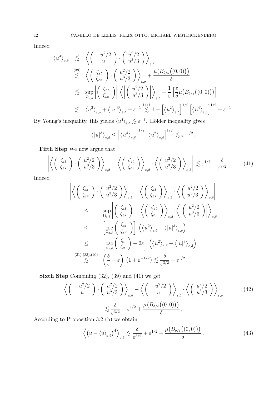Indeed

$$
\langle u^4 \rangle_{\varepsilon,\delta} \leq \left\langle \begin{pmatrix} -u^2/2 \\ u \end{pmatrix} \cdot \begin{pmatrix} u^2/2 \\ u^3/3 \end{pmatrix} \right\rangle_{\varepsilon,\delta}
$$
  

$$
\stackrel{(39)}{\lesssim} \left\langle \begin{pmatrix} \zeta_{\varepsilon t} \\ \zeta_{\varepsilon x} \end{pmatrix} \cdot \begin{pmatrix} u^2/2 \\ u^3/3 \end{pmatrix} \right\rangle_{\varepsilon,\delta} + \frac{\mu(B_{\delta/\varepsilon}((0,0)))}{\delta}
$$
  

$$
\lesssim \sup_{\Omega_{\varepsilon,\delta}} \left| \begin{pmatrix} \zeta_{\varepsilon t} \\ \zeta_{\varepsilon x} \end{pmatrix} \right| \left\langle \left| \begin{pmatrix} u^2/2 \\ u^3/3 \end{pmatrix} \right| \right\rangle_{\varepsilon,\delta} + \frac{1}{\varepsilon} \left[ \frac{\varepsilon}{\delta} \mu(B_{\delta/\varepsilon}((0,0))) \right]
$$
  

$$
\lesssim \left\langle u^2 \right\rangle_{\varepsilon,\delta} + \left\langle |u|^3 \right\rangle_{\varepsilon,\delta} + \varepsilon^{-1} \stackrel{(33)}{\lesssim} 1 + \left[ \left\langle u^2 \right\rangle_{\varepsilon,\delta} \right]^{1/2} \left[ \left\langle u^4 \right\rangle_{\varepsilon,\delta} \right]^{1/2} + \varepsilon^{-1}.
$$

By Young's inequality, this yields  $\langle u^4 \rangle_{\varepsilon,\delta} \lesssim \varepsilon^{-1}$ . Hölder inequality gives

$$
\langle |u|^3 \rangle_{\varepsilon,\delta} \leq \left[ \langle u^4 \rangle_{\varepsilon,\delta} \right]^{1/2} \left[ \langle u^2 \rangle_{\varepsilon,\delta} \right]^{1/2} \lesssim \varepsilon^{-1/2}.
$$

**Fifth Step** We now argue that

$$
\left| \left\langle \left( \begin{array}{c} \zeta_{\varepsilon t} \\ \zeta_{\varepsilon x} \end{array} \right) \cdot \left( \begin{array}{c} u^2/2 \\ u^3/3 \end{array} \right) \right\rangle_{\varepsilon, \delta} - \left\langle \left( \begin{array}{c} \zeta_{\varepsilon t} \\ \zeta_{\varepsilon x} \end{array} \right) \right\rangle_{\varepsilon, \delta} \cdot \left\langle \left( \begin{array}{c} u^2/2 \\ u^3/3 \end{array} \right) \right\rangle_{\varepsilon, \delta} \right| \lesssim \varepsilon^{1/2} + \frac{\delta}{\varepsilon^{3/2}}. \tag{41}
$$

Indeed

$$
\left| \left\langle \begin{pmatrix} \zeta_{\varepsilon t} \\ \zeta_{\varepsilon x} \end{pmatrix} \cdot \begin{pmatrix} u^2/2 \\ u^3/3 \end{pmatrix} \right\rangle_{\varepsilon,\delta} - \left\langle \begin{pmatrix} \zeta_{\varepsilon t} \\ \zeta_{\varepsilon x} \end{pmatrix} \right\rangle_{\varepsilon,\delta} \cdot \left\langle \begin{pmatrix} u^2/2 \\ u^3/3 \end{pmatrix} \right\rangle_{\varepsilon,\delta} \right|
$$
  
\n
$$
\leq \sup_{\Omega_{\varepsilon,\delta}} \left| \begin{pmatrix} \zeta_{\varepsilon t} \\ \zeta_{\varepsilon x} \end{pmatrix} - \left\langle \begin{pmatrix} \zeta_{\varepsilon t} \\ \zeta_{\varepsilon x} \end{pmatrix} \right\rangle_{\varepsilon,\delta} \right| \left\langle \left| \begin{pmatrix} u^2/2 \\ u^3/3 \end{pmatrix} \right| \right\rangle_{\varepsilon,\delta}
$$
  
\n
$$
\leq \left[ \operatorname*{osc}_{\Omega_{\varepsilon,\delta}} \begin{pmatrix} \zeta_{\varepsilon t} \\ \zeta_{\varepsilon x} \end{pmatrix} \right] \left( \langle u^2 \rangle_{\varepsilon,\delta} + \langle |u|^3 \rangle_{\varepsilon,\delta} \right)
$$
  
\n
$$
\leq \left[ \operatorname*{osc}_{\Omega_{\varepsilon,\delta}} \begin{pmatrix} \zeta_{t} \\ \zeta_{x} \end{pmatrix} + 2\varepsilon \right] \left( \langle u^2 \rangle_{\varepsilon,\delta} + \langle |u|^3 \rangle_{\varepsilon,\delta} \right)
$$
  
\n(31),(33),(40)  
\n
$$
\lesssim \left( \frac{\delta}{\varepsilon} + \varepsilon \right) \left( 1 + \varepsilon^{-1/2} \right) \lesssim \frac{\delta}{\varepsilon^{3/2}} + \varepsilon^{1/2}.
$$

**Sixth Step** Combining  $(32)$ ,  $(39)$  and  $(41)$  we get

$$
\left\langle \begin{pmatrix} -u^2/2 \\ u \end{pmatrix} \cdot \begin{pmatrix} u^2/2 \\ u^3/3 \end{pmatrix} \right\rangle_{\varepsilon,\delta} - \left\langle \begin{pmatrix} -u^2/2 \\ u \end{pmatrix} \right\rangle_{\varepsilon,\delta} \cdot \left\langle \begin{pmatrix} u^2/2 \\ u^3/3 \end{pmatrix} \right\rangle_{\varepsilon,\delta}
$$
\n
$$
\lesssim \frac{\delta}{\varepsilon^{3/2}} + \varepsilon^{1/2} + \frac{\mu(B_{\delta/\varepsilon}((0,0)))}{\delta}.
$$
\n(42)

According to Proposition 3.2 (b) we obtain

$$
\left\langle \left(u - \langle u \rangle_{\varepsilon, \delta}\right)^4 \right\rangle_{\varepsilon, \delta} \lesssim \frac{\delta}{\varepsilon^{3/2}} + \varepsilon^{1/2} + \frac{\mu\big(B_{\delta/\varepsilon}\big((0,0)\big)\big)}{\delta} \,. \tag{43}
$$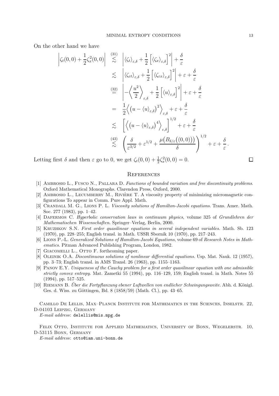On the other hand we have

$$
\begin{split}\n\left|\zeta_{t}(0,0)+\frac{1}{2}\zeta_{x}^{2}(0,0)\right| &\stackrel{(31)}{\lesssim} \left|\langle\zeta_{t}\rangle_{\varepsilon,\delta}+\frac{1}{2}\left[\langle\zeta_{x}\rangle_{\varepsilon,\delta}\right]^{2}\right|+\frac{\delta}{\varepsilon} \\
&\lesssim \left|\langle\zeta_{\varepsilon t}\rangle_{\varepsilon,\delta}+\frac{1}{2}\left[\langle\zeta_{\varepsilon x}\rangle_{\varepsilon,\delta}\right]^{2}\right|+\varepsilon+\frac{\delta}{\varepsilon} \\
&\stackrel{(32)}{=} \left|-\left\langle\frac{u^{2}}{2}\right\rangle_{\varepsilon,\delta}+\frac{1}{2}\left[\langle u\rangle_{\varepsilon,\delta}\right]^{2}\right|+\varepsilon+\frac{\delta}{\varepsilon} \\
&=\frac{1}{2}\left\langle\left(u-\langle u\rangle_{\varepsilon,\delta}\right)^{2}\right\rangle_{\varepsilon,\delta}+\varepsilon+\frac{\delta}{\varepsilon} \\
&\lesssim \left[\left\langle\left(u-\langle u\rangle_{\varepsilon,\delta}\right)^{4}\right\rangle_{\varepsilon,\delta}\right]^{1/2}+\varepsilon+\frac{\delta}{\varepsilon} \\
&\stackrel{(43)}{\lesssim} \left(\frac{\delta}{\varepsilon^{3/2}}+\varepsilon^{1/2}+\frac{\mu\left(B_{\delta/\varepsilon}\big((0,0)\big)\right)}{\delta}\right)^{1/2}+\varepsilon+\frac{\delta}{\varepsilon}.\n\end{split}
$$

Letting first  $\delta$  and then  $\varepsilon$  go to 0, we get  $\zeta_t(0,0) + \frac{1}{2}\zeta_x^2(0,0) = 0$ .

# $\Box$

#### **REFERENCES**

- [1] Ambrosio L., Fusco N., Pallara D. *Functions of bounded variation and free discontinuity problems*. Oxford Mathematical Monographs. Clarendon Press, Oxford, 2000.
- [2] AMBROSIO L., LECUMBERRY M., RIVIÈRE T. A viscosity property of minimizing micromagnetic configurations To appear in Comm. Pure Appl. Math.
- [3] Crandall M. G., Lions P. L. *Viscosity solutions of Hamilton-Jacobi equations.* Trans. Amer. Math. Soc. 277 (1983), pp. 1–42.
- [4] Dafermos C. *Hyperbolic conservation laws in continuum physics*, volume 325 of *Grundlehren der Mathematischen Wissenschaften*. Springer–Verlag, Berlin, 2000.
- [5] Kruzhkov S.N. *First order quasilinear equations in several independent variables.* Math. Sb. 123 (1970), pp. 228–255; English transl. in Math. USSR Sbornik 10 (1970), pp. 217–243.
- [6] Lions P.-L. *Generalized Solutions of Hamilton-Jacobi Equations*, volume 69 of *Research Notes in Mathematics*. Pitman Advanced Publishing Program, London, 1982.
- [7] GIACOMELLI L., OTTO F. forthcoming paper.
- [8] Oleinik O.A. *Discontinuous solutions of nonlinear differential equations.* Usp. Mat. Nauk. 12 (1957), pp. 3–73; English transl. in AMS Transl. 26 (1963), pp. 1155–1163.
- [9] Panov E.Y. *Uniqueness of the Cauchy problem for a first order quasilinear equation with one admissible strictly convex entropy.* Mat. Zametki 55 (1994), pp. 116–129, 159; English transl. in Math. Notes 55 (1994), pp. 517–525.
- [10] RIEMANN B. *Über die Fortpflanzung ebener Luftwellen von endlicher Schwingungsweite.* Abh. d. Königl. Ges. d. Wiss. zu Göttingen, Bd. 8 (1858/59) (Math. Cl.), pp. 43–65.

Camillo De Lellis, Max–Planck Institute for Mathematics in the Sciences, Inselstr. 22, D-04103 Leipzig, Germany

*E-mail address*: delellis@mis.mpg.de

FELIX OTTO, INSTITUTE FOR APPLIED MATHEMATICS, UNIVERSITY OF BONN, WEGELERSTR. 10, D-53115 Bonn, Germany

*E-mail address*: otto@iam.uni-bonn.de